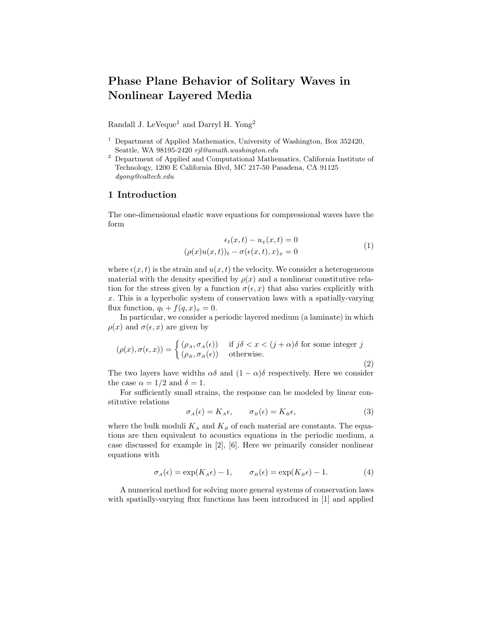# Phase Plane Behavior of Solitary Waves in Nonlinear Layered Media

Randall J. LeVeque<sup>1</sup> and Darryl H. Yong<sup>2</sup>

- <sup>1</sup> Department of Applied Mathematics, University of Washington, Box 352420, Seattle, WA 98195-2420 rjl@amath.washington.edu
- <sup>2</sup> Department of Applied and Computational Mathematics, California Institute of Technology, 1200 E California Blvd, MC 217-50 Pasadena, CA 91125 dyong@caltech.edu

## 1 Introduction

The one-dimensional elastic wave equations for compressional waves have the form

$$
\epsilon_t(x,t) - u_x(x,t) = 0
$$

$$
(\rho(x)u(x,t))_t - \sigma(\epsilon(x,t),x)_x = 0
$$
 (1)

where  $\epsilon(x,t)$  is the strain and  $u(x,t)$  the velocity. We consider a heterogeneous material with the density specified by  $\rho(x)$  and a nonlinear constitutive relation for the stress given by a function  $\sigma(\epsilon, x)$  that also varies explicitly with  $x$ . This is a hyperbolic system of conservation laws with a spatially-varying flux function,  $q_t + f(q, x)_x = 0$ .

In particular, we consider a periodic layered medium (a laminate) in which  $\rho(x)$  and  $\sigma(\epsilon, x)$  are given by

$$
(\rho(x), \sigma(\epsilon, x)) = \begin{cases} (\rho_A, \sigma_A(\epsilon)) & \text{if } j\delta < x < (j + \alpha)\delta \text{ for some integer } j \\ (\rho_B, \sigma_B(\epsilon)) & \text{otherwise.} \end{cases}
$$
 (2)

The two layers have widths  $\alpha\delta$  and  $(1 - \alpha)\delta$  respectively. Here we consider the case  $\alpha = 1/2$  and  $\delta = 1$ .

For sufficiently small strains, the response can be modeled by linear constitutive relations

$$
\sigma_A(\epsilon) = K_A \epsilon, \qquad \sigma_B(\epsilon) = K_B \epsilon,
$$
\n(3)

where the bulk moduli  $K_A$  and  $K_B$  of each material are constants. The equations are then equivalent to acoustics equations in the periodic medium, a case discussed for example in [2], [6]. Here we primarily consider nonlinear equations with

$$
\sigma_A(\epsilon) = \exp(K_A \epsilon) - 1, \qquad \sigma_B(\epsilon) = \exp(K_B \epsilon) - 1. \tag{4}
$$

A numerical method for solving more general systems of conservation laws with spatially-varying flux functions has been introduced in [1] and applied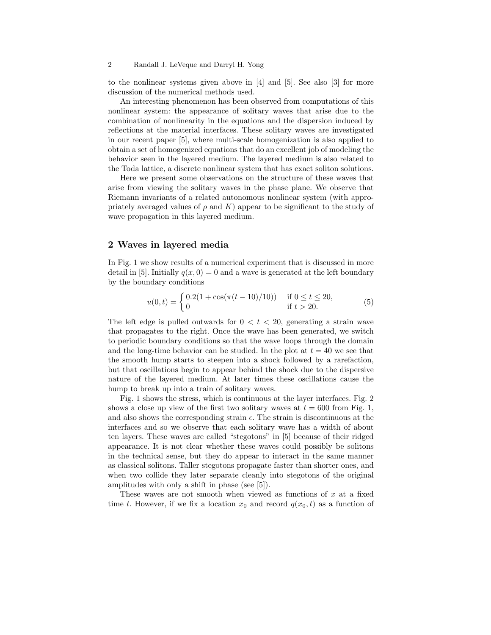to the nonlinear systems given above in [4] and [5]. See also [3] for more discussion of the numerical methods used.

An interesting phenomenon has been observed from computations of this nonlinear system: the appearance of solitary waves that arise due to the combination of nonlinearity in the equations and the dispersion induced by reflections at the material interfaces. These solitary waves are investigated in our recent paper [5], where multi-scale homogenization is also applied to obtain a set of homogenized equations that do an excellent job of modeling the behavior seen in the layered medium. The layered medium is also related to the Toda lattice, a discrete nonlinear system that has exact soliton solutions.

Here we present some observations on the structure of these waves that arise from viewing the solitary waves in the phase plane. We observe that Riemann invariants of a related autonomous nonlinear system (with appropriately averaged values of  $\rho$  and K) appear to be significant to the study of wave propagation in this layered medium.

#### 2 Waves in layered media

In Fig. 1 we show results of a numerical experiment that is discussed in more detail in [5]. Initially  $q(x, 0) = 0$  and a wave is generated at the left boundary by the boundary conditions

$$
u(0,t) = \begin{cases} 0.2(1 + \cos(\pi(t-10)/10)) & \text{if } 0 \le t \le 20, \\ 0 & \text{if } t > 20. \end{cases}
$$
 (5)

The left edge is pulled outwards for  $0 < t < 20$ , generating a strain wave that propagates to the right. Once the wave has been generated, we switch to periodic boundary conditions so that the wave loops through the domain and the long-time behavior can be studied. In the plot at  $t = 40$  we see that the smooth hump starts to steepen into a shock followed by a rarefaction, but that oscillations begin to appear behind the shock due to the dispersive nature of the layered medium. At later times these oscillations cause the hump to break up into a train of solitary waves.

Fig. 1 shows the stress, which is continuous at the layer interfaces. Fig. 2 shows a close up view of the first two solitary waves at  $t = 600$  from Fig. 1, and also shows the corresponding strain  $\epsilon$ . The strain is discontinuous at the interfaces and so we observe that each solitary wave has a width of about ten layers. These waves are called "stegotons" in [5] because of their ridged appearance. It is not clear whether these waves could possibly be solitons in the technical sense, but they do appear to interact in the same manner as classical solitons. Taller stegotons propagate faster than shorter ones, and when two collide they later separate cleanly into stegotons of the original amplitudes with only a shift in phase (see [5]).

These waves are not smooth when viewed as functions of  $x$  at a fixed time t. However, if we fix a location  $x_0$  and record  $q(x_0, t)$  as a function of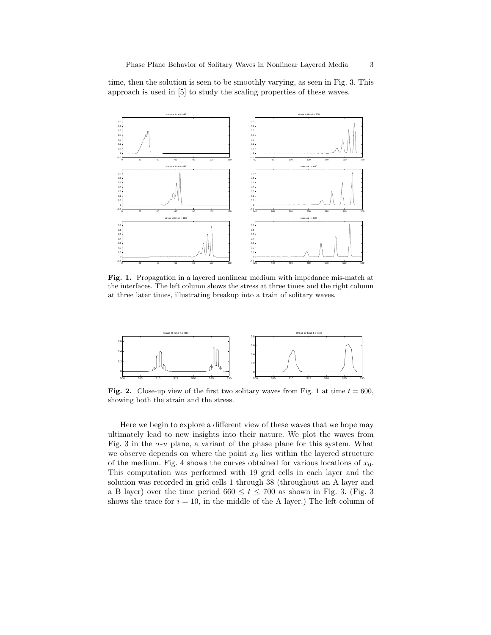time, then the solution is seen to be smoothly varying, as seen in Fig. 3. This approach is used in [5] to study the scaling properties of these waves.



Fig. 1. Propagation in a layered nonlinear medium with impedance mis-match at the interfaces. The left column shows the stress at three times and the right column at three later times, illustrating breakup into a train of solitary waves.



Fig. 2. Close-up view of the first two solitary waves from Fig. 1 at time  $t = 600$ , showing both the strain and the stress.

Here we begin to explore a different view of these waves that we hope may ultimately lead to new insights into their nature. We plot the waves from Fig. 3 in the  $\sigma$ -*u* plane, a variant of the phase plane for this system. What we observe depends on where the point  $x_0$  lies within the layered structure of the medium. Fig. 4 shows the curves obtained for various locations of  $x_0$ . This computation was performed with 19 grid cells in each layer and the solution was recorded in grid cells 1 through 38 (throughout an A layer and a B layer) over the time period  $660 \le t \le 700$  as shown in Fig. 3. (Fig. 3) shows the trace for  $i = 10$ , in the middle of the A layer.) The left column of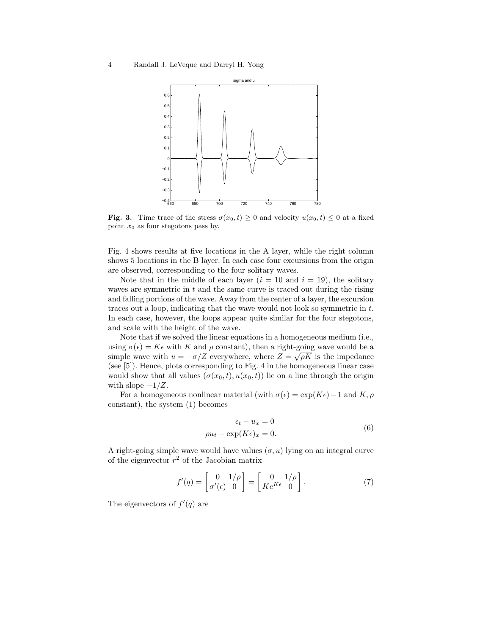

**Fig. 3.** Time trace of the stress  $\sigma(x_0,t) \geq 0$  and velocity  $u(x_0,t) \leq 0$  at a fixed point  $x_0$  as four stegotons pass by.

Fig. 4 shows results at five locations in the A layer, while the right column shows 5 locations in the B layer. In each case four excursions from the origin are observed, corresponding to the four solitary waves.

Note that in the middle of each layer  $(i = 10$  and  $i = 19)$ , the solitary waves are symmetric in  $t$  and the same curve is traced out during the rising and falling portions of the wave. Away from the center of a layer, the excursion traces out a loop, indicating that the wave would not look so symmetric in t. In each case, however, the loops appear quite similar for the four stegotons, and scale with the height of the wave.

Note that if we solved the linear equations in a homogeneous medium (i.e., using  $\sigma(\epsilon) = K\epsilon$  with K and  $\rho$  constant), then a right-going wave would be a simple wave with  $u = -\sigma/Z$  everywhere, where  $Z = \sqrt{\rho K}$  is the impedance (see [5]). Hence, plots corresponding to Fig. 4 in the homogeneous linear case would show that all values  $(\sigma(x_0,t), u(x_0,t))$  lie on a line through the origin with slope  $-1/Z$ .

For a homogeneous nonlinear material (with  $\sigma(\epsilon) = \exp(K\epsilon) - 1$  and K,  $\rho$ constant), the system (1) becomes

$$
\epsilon_t - u_x = 0
$$
  

$$
\rho u_t - \exp(K\epsilon)_x = 0.
$$
 (6)

A right-going simple wave would have values  $(\sigma, u)$  lying on an integral curve of the eigenvector  $r^2$  of the Jacobian matrix

$$
f'(q) = \begin{bmatrix} 0 & 1/\rho \\ \sigma'(\epsilon) & 0 \end{bmatrix} = \begin{bmatrix} 0 & 1/\rho \\ Ke^{K\epsilon} & 0 \end{bmatrix}.
$$
 (7)

The eigenvectors of  $f'(q)$  are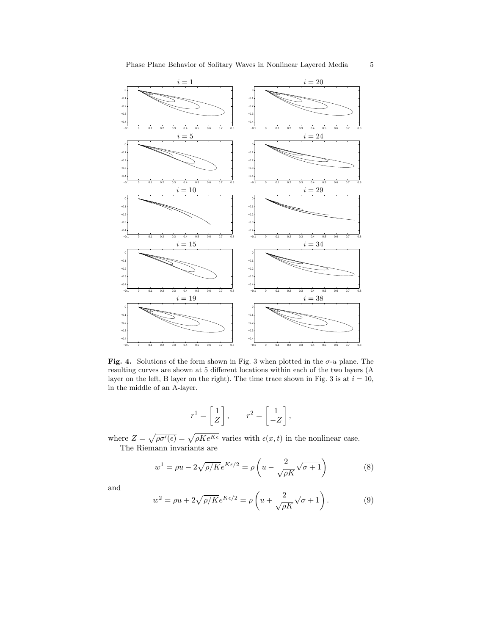

Fig. 4. Solutions of the form shown in Fig. 3 when plotted in the  $\sigma$ -u plane. The resulting curves are shown at 5 different locations within each of the two layers (A layer on the left, B layer on the right). The time trace shown in Fig. 3 is at  $i = 10$ , in the middle of an A-layer.

$$
r^1 = \begin{bmatrix} 1 \\ Z \end{bmatrix}, \qquad r^2 = \begin{bmatrix} 1 \\ -Z \end{bmatrix},
$$

where  $Z = \sqrt{\rho \sigma'(\epsilon)} = \sqrt{\rho K e^{K \epsilon}}$  varies with  $\epsilon(x,t)$  in the nonlinear case. The Riemann invariants are

$$
w^{1} = \rho u - 2\sqrt{\rho/K}e^{K\epsilon/2} = \rho \left(u - \frac{2}{\sqrt{\rho K}}\sqrt{\sigma + 1}\right)
$$
 (8)

and

$$
w^{2} = \rho u + 2\sqrt{\rho/K}e^{K\epsilon/2} = \rho \left(u + \frac{2}{\sqrt{\rho K}}\sqrt{\sigma + 1}\right).
$$
 (9)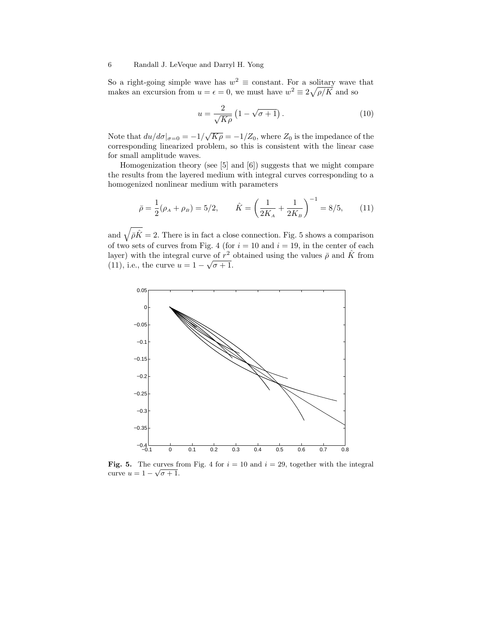So a right-going simple wave has  $w^2 \equiv$  constant. For a solitary wave that makes an excursion from  $u = \epsilon = 0$ , we must have  $w^2 \equiv 2\sqrt{\rho/K}$  and so

$$
u = \frac{2}{\sqrt{K\rho}} \left( 1 - \sqrt{\sigma + 1} \right). \tag{10}
$$

Note that  $du/d\sigma|_{\sigma=0} = -1/\sqrt{K\rho} = -1/Z_0$ , where  $Z_0$  is the impedance of the corresponding linearized problem, so this is consistent with the linear case for small amplitude waves.

Homogenization theory (see [5] and [6]) suggests that we might compare the results from the layered medium with integral curves corresponding to a homogenized nonlinear medium with parameters

$$
\bar{\rho} = \frac{1}{2}(\rho_A + \rho_B) = 5/2, \qquad \hat{K} = \left(\frac{1}{2K_A} + \frac{1}{2K_B}\right)^{-1} = 8/5, \qquad (11)
$$

and  $\sqrt{\bar{\rho}\hat{K}} = 2$ . There is in fact a close connection. Fig. 5 shows a comparison of two sets of curves from Fig. 4 (for  $i = 10$  and  $i = 19$ , in the center of each layer) with the integral curve of  $r^2$  obtained using the values  $\bar{\rho}$  and  $\hat{K}$  from (11), i.e., the curve  $u = 1 - \sqrt{\sigma + 1}$ .



Fig. 5. The curves from Fig. 4 for  $i = 10$  and  $i = 29$ , together with the integral curve  $u = 1 - \sqrt{\sigma + 1}$ .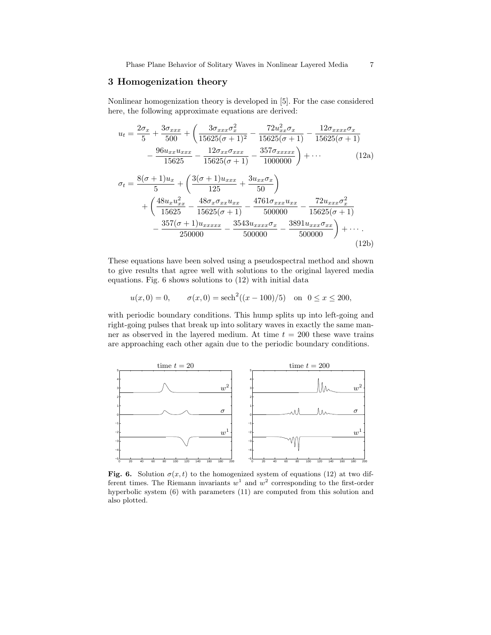### 3 Homogenization theory

Nonlinear homogenization theory is developed in [5]. For the case considered here, the following approximate equations are derived:

$$
u_{t} = \frac{2\sigma_{x}}{5} + \frac{3\sigma_{xxx}}{500} + \left(\frac{3\sigma_{xxx}\sigma_{x}^{2}}{15625(\sigma+1)^{2}} - \frac{72u_{xx}^{2}\sigma_{x}}{15625(\sigma+1)} - \frac{12\sigma_{xxxx}\sigma_{x}}{15625(\sigma+1)}\right) - \frac{96u_{xx}u_{xxx}}{15625} - \frac{12\sigma_{xx}\sigma_{xxx}}{15625(\sigma+1)} - \frac{357\sigma_{xxxxx}}{1000000} + \cdots
$$
 (12a)

$$
\sigma_t = \frac{8(\sigma+1)u_x}{5} + \left(\frac{3(\sigma+1)u_{xxx}}{125} + \frac{3u_{xx}\sigma_x}{50}\right) \n+ \left(\frac{48u_xu_{xx}^2}{15625} - \frac{48\sigma_x\sigma_{xx}u_{xx}}{15625(\sigma+1)} - \frac{4761\sigma_{xxx}u_{xx}}{500000} - \frac{72u_{xxx}\sigma_x^2}{15625(\sigma+1)} - \frac{357(\sigma+1)u_{xxxxx}}{250000} - \frac{3543u_{xxxx}\sigma_x}{500000} - \frac{3891u_{xxx}\sigma_{xx}}{500000}\right) + \cdots
$$
\n(12b)

These equations have been solved using a pseudospectral method and shown to give results that agree well with solutions to the original layered media equations. Fig. 6 shows solutions to (12) with initial data

$$
u(x, 0) = 0,
$$
  $\sigma(x, 0) = sech2((x - 100)/5)$  on  $0 \le x \le 200$ ,

with periodic boundary conditions. This hump splits up into left-going and right-going pulses that break up into solitary waves in exactly the same manner as observed in the layered medium. At time  $t = 200$  these wave trains are approaching each other again due to the periodic boundary conditions.



Fig. 6. Solution  $\sigma(x,t)$  to the homogenized system of equations (12) at two different times. The Riemann invariants  $w^1$  and  $w^2$  corresponding to the first-order hyperbolic system (6) with parameters (11) are computed from this solution and also plotted.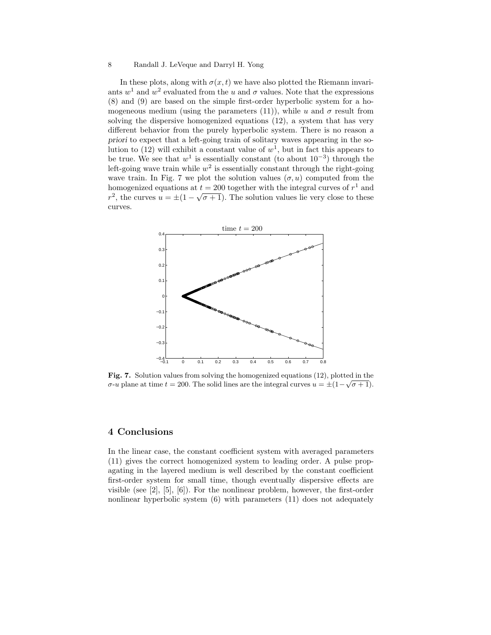In these plots, along with  $\sigma(x,t)$  we have also plotted the Riemann invariants  $w^1$  and  $w^2$  evaluated from the u and  $\sigma$  values. Note that the expressions (8) and (9) are based on the simple first-order hyperbolic system for a homogeneous medium (using the parameters (11)), while u and  $\sigma$  result from solving the dispersive homogenized equations (12), a system that has very different behavior from the purely hyperbolic system. There is no reason a priori to expect that a left-going train of solitary waves appearing in the solution to (12) will exhibit a constant value of  $w^1$ , but in fact this appears to be true. We see that  $w^1$  is essentially constant (to about  $10^{-3}$ ) through the left-going wave train while  $w^2$  is essentially constant through the right-going wave train. In Fig. 7 we plot the solution values  $(\sigma, u)$  computed from the homogenized equations at  $t = 200$  together with the integral curves of  $r<sup>1</sup>$  and  $r^2$ , the curves  $u = \pm(1-\sqrt{\sigma+1})$ . The solution values lie very close to these curves.



Fig. 7. Solution values from solving the homogenized equations (12), plotted in the σ-u plane at time  $t = 200$ . The solid lines are the integral curves  $u = \pm (1 - \sqrt{\sigma + 1})$ .

### 4 Conclusions

In the linear case, the constant coefficient system with averaged parameters (11) gives the correct homogenized system to leading order. A pulse propagating in the layered medium is well described by the constant coefficient first-order system for small time, though eventually dispersive effects are visible (see [2], [5], [6]). For the nonlinear problem, however, the first-order nonlinear hyperbolic system (6) with parameters (11) does not adequately